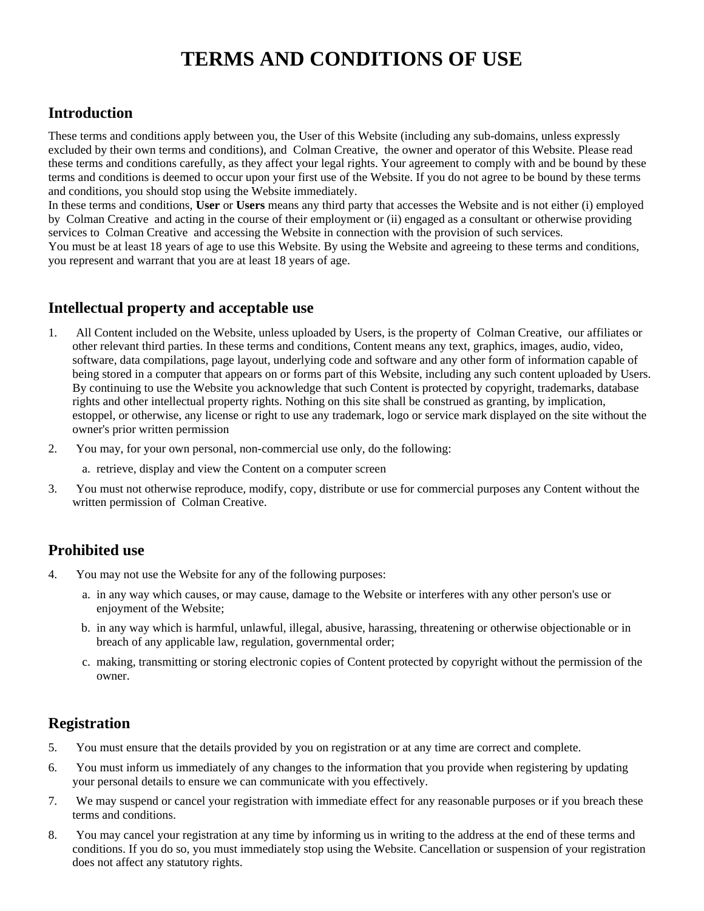# **TERMS AND CONDITIONS OF USE**

# **Introduction**

These terms and conditions apply between you, the User of this Website (including any sub-domains, unless expressly excluded by their own terms and conditions), and Colman Creative, the owner and operator of this Website. Please read these terms and conditions carefully, as they affect your legal rights. Your agreement to comply with and be bound by these terms and conditions is deemed to occur upon your first use of the Website. If you do not agree to be bound by these terms and conditions, you should stop using the Website immediately.

In these terms and conditions, **User** or **Users** means any third party that accesses the Website and is not either (i) employed by Colman Creative and acting in the course of their employment or (ii) engaged as a consultant or otherwise providing services to Colman Creative and accessing the Website in connection with the provision of such services. You must be at least 18 years of age to use this Website. By using the Website and agreeing to these terms and conditions, you represent and warrant that you are at least 18 years of age.

# **Intellectual property and acceptable use**

- 1. All Content included on the Website, unless uploaded by Users, is the property of Colman Creative, our affiliates or other relevant third parties. In these terms and conditions, Content means any text, graphics, images, audio, video, software, data compilations, page layout, underlying code and software and any other form of information capable of being stored in a computer that appears on or forms part of this Website, including any such content uploaded by Users. By continuing to use the Website you acknowledge that such Content is protected by copyright, trademarks, database rights and other intellectual property rights. Nothing on this site shall be construed as granting, by implication, estoppel, or otherwise, any license or right to use any trademark, logo or service mark displayed on the site without the owner's prior written permission
- 2. You may, for your own personal, non-commercial use only, do the following:
	- a. retrieve, display and view the Content on a computer screen
- 3. You must not otherwise reproduce, modify, copy, distribute or use for commercial purposes any Content without the written permission of Colman Creative.

# **Prohibited use**

- 4. You may not use the Website for any of the following purposes:
	- a. in any way which causes, or may cause, damage to the Website or interferes with any other person's use or enjoyment of the Website;
	- b. in any way which is harmful, unlawful, illegal, abusive, harassing, threatening or otherwise objectionable or in breach of any applicable law, regulation, governmental order;
	- c. making, transmitting or storing electronic copies of Content protected by copyright without the permission of the owner.

# **Registration**

- 5. You must ensure that the details provided by you on registration or at any time are correct and complete.
- 6. You must inform us immediately of any changes to the information that you provide when registering by updating your personal details to ensure we can communicate with you effectively.
- 7. We may suspend or cancel your registration with immediate effect for any reasonable purposes or if you breach these terms and conditions.
- 8. You may cancel your registration at any time by informing us in writing to the address at the end of these terms and conditions. If you do so, you must immediately stop using the Website. Cancellation or suspension of your registration does not affect any statutory rights.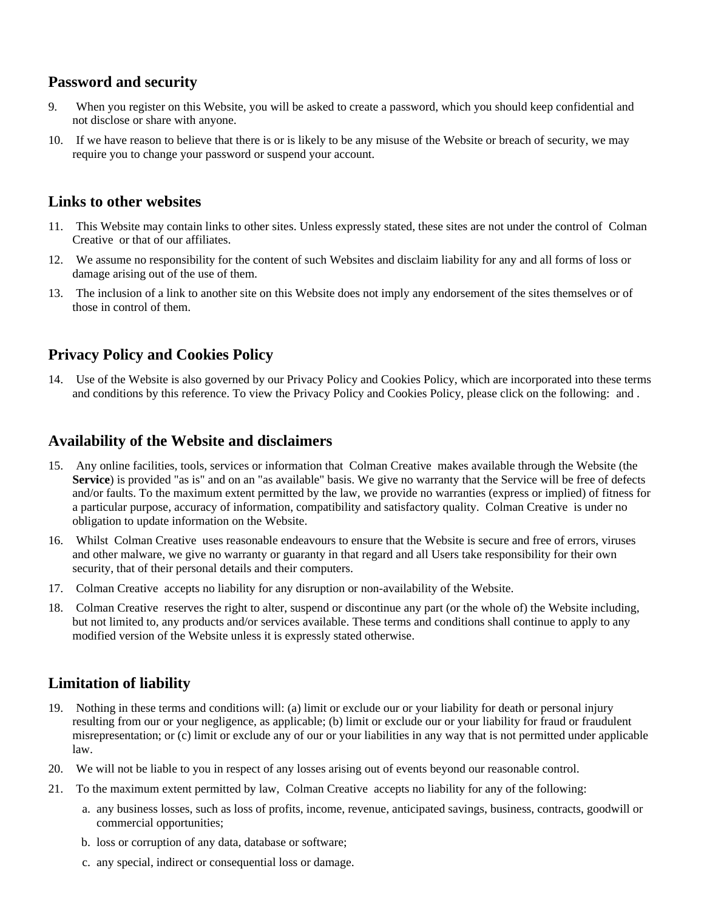### **Password and security**

- 9. When you register on this Website, you will be asked to create a password, which you should keep confidential and not disclose or share with anyone.
- 10. If we have reason to believe that there is or is likely to be any misuse of the Website or breach of security, we may require you to change your password or suspend your account.

#### **Links to other websites**

- 11. This Website may contain links to other sites. Unless expressly stated, these sites are not under the control of Colman Creative or that of our affiliates.
- 12. We assume no responsibility for the content of such Websites and disclaim liability for any and all forms of loss or damage arising out of the use of them.
- 13. The inclusion of a link to another site on this Website does not imply any endorsement of the sites themselves or of those in control of them.

## **Privacy Policy and Cookies Policy**

14. Use of the Website is also governed by our Privacy Policy and Cookies Policy, which are incorporated into these terms and conditions by this reference. To view the Privacy Policy and Cookies Policy, please click on the following: and .

#### **Availability of the Website and disclaimers**

- 15. Any online facilities, tools, services or information that Colman Creative makes available through the Website (the **Service**) is provided "as is" and on an "as available" basis. We give no warranty that the Service will be free of defects and/or faults. To the maximum extent permitted by the law, we provide no warranties (express or implied) of fitness for a particular purpose, accuracy of information, compatibility and satisfactory quality. Colman Creative is under no obligation to update information on the Website.
- 16. Whilst Colman Creative uses reasonable endeavours to ensure that the Website is secure and free of errors, viruses and other malware, we give no warranty or guaranty in that regard and all Users take responsibility for their own security, that of their personal details and their computers.
- 17. Colman Creative accepts no liability for any disruption or non-availability of the Website.
- 18. Colman Creative reserves the right to alter, suspend or discontinue any part (or the whole of) the Website including, but not limited to, any products and/or services available. These terms and conditions shall continue to apply to any modified version of the Website unless it is expressly stated otherwise.

### **Limitation of liability**

- 19. Nothing in these terms and conditions will: (a) limit or exclude our or your liability for death or personal injury resulting from our or your negligence, as applicable; (b) limit or exclude our or your liability for fraud or fraudulent misrepresentation; or (c) limit or exclude any of our or your liabilities in any way that is not permitted under applicable law.
- 20. We will not be liable to you in respect of any losses arising out of events beyond our reasonable control.
- 21. To the maximum extent permitted by law, Colman Creative accepts no liability for any of the following:
	- a. any business losses, such as loss of profits, income, revenue, anticipated savings, business, contracts, goodwill or commercial opportunities;
	- b. loss or corruption of any data, database or software;
	- c. any special, indirect or consequential loss or damage.